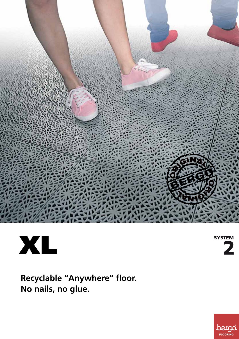



**SYSTEM** 

**Recyclable "Anywhere" floor. No nails, no glue.** 

**bergo**